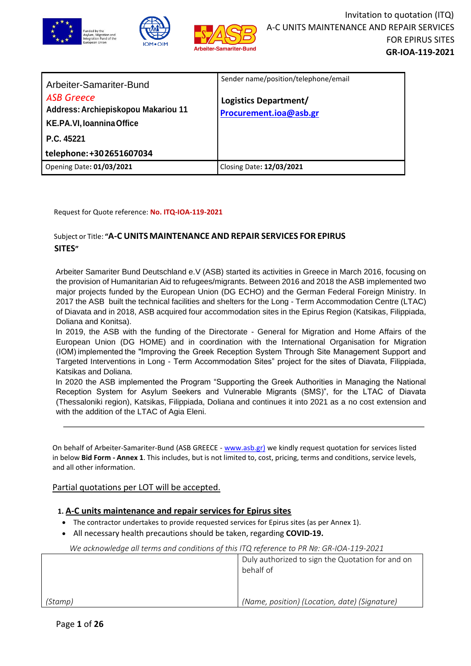

| Arbeiter-Samariter-Bund<br><b>ASB Greece</b><br>Address: Archiepiskopou Makariou 11<br>KE.PA.VI, Ioannina Office<br>P.C. 45221<br>telephone: +302651607034 | Sender name/position/telephone/email<br>Logistics Department/<br>Procurement.ioa@asb.gr |
|------------------------------------------------------------------------------------------------------------------------------------------------------------|-----------------------------------------------------------------------------------------|
| Opening Date: 01/03/2021                                                                                                                                   | Closing Date: 12/03/2021                                                                |

Request for Quote reference: **No. ITQ-IOA-119-2021**

# Subject or Title: **"A-C UNITS MAINTENANCE AND REPAIR SERVICES FOR EPIRUS SITES"**

Arbeiter Samariter Bund Deutschland e.V (ASB) started its activities in Greece in March 2016, focusing on the provision of Humanitarian Aid to refugees/migrants. Between 2016 and 2018 the ASB implemented two major projects funded by the European Union (DG ECHO) and the German Federal Foreign Ministry. In 2017 the ASB built the technical facilities and shelters for the Long - Term Accommodation Centre (LTAC) of Diavata and in 2018, ASB acquired four accommodation sites in the Epirus Region (Katsikas, Filippiada, Doliana and Konitsa).

In 2019, the ASB with the funding of the Directorate - General for Migration and Home Affairs of the European Union (DG HOME) and in coordination with the International Organisation for Migration (IOM) implemented the "Improving the Greek Reception System Through Site Management Support and Targeted Interventions in Long - Term Accommodation Sites" project for the sites of Diavata, Filippiada, Katsikas and Doliana.

In 2020 the ASB implemented the Program "Supporting the Greek Authorities in Managing the National Reception System for Asylum Seekers and Vulnerable Migrants (SMS)", for the LTAC of Diavata (Thessaloniki region), Katsikas, Filippiada, Doliana and continues it into 2021 as a no cost extension and with the addition of the LTAC of Agia Eleni.

On behalf of Arbeiter-Samariter-Bund (ASB GREECE - [www.asb.gr\)](http://www.asb.gr/) we kindly request quotation for services listed in below **Bid Form - Annex 1**. This includes, but is not limited to, cost, pricing, terms and conditions, service levels, and all other information.

## Partial quotations per LOT will be accepted.

## **1. A-C units maintenance and repair services for Epirus sites**

- The contractor undertakes to provide requested services for Epirus sites (as per Annex 1).
- All necessary health precautions should be taken, regarding **COVID-19.**

|         | Duly authorized to sign the Quotation for and on<br>behalf of |
|---------|---------------------------------------------------------------|
|         |                                                               |
| (Stamp) | (Name, position) (Location, date) (Signature)                 |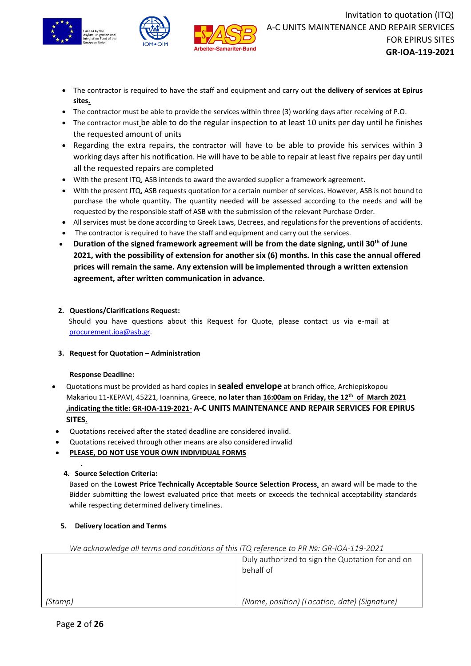





- The contractor is required to have the staff and equipment and carry out **the delivery of services at Epirus sites.**
- The contractor must be able to provide the services within three (3) working days after receiving of P.O.
- The contractor must be able to do the regular inspection to at least 10 units per day until he finishes the requested amount of units
- Regarding the extra repairs, the contractor will have to be able to provide his services within 3 working days after his notification. He will have to be able to repair at least five repairs per day until all the requested repairs are completed
- With the present ITQ, ASB intends to award the awarded supplier a framework agreement.
- With the present ITQ, ASB requests quotation for a certain number of services. However, ASB is not bound to purchase the whole quantity. The quantity needed will be assessed according to the needs and will be requested by the responsible staff of ASB with the submission of the relevant Purchase Order.
- All services must be done according to Greek Laws, Decrees, and regulations for the preventions of accidents.
- The contractor is required to have the staff and equipment and carry out the services.
- **Duration of the signed framework agreement will be from the date signing, until 30th of June 2021, with the possibility of extension for another six (6) months. In this case the annual offered prices will remain the same. Any extension will be implemented through a written extension agreement, after written communication in advance.**

## **2. Questions/Clarifications Request:**

Should you have questions about this Request for Quote, please contact us via e-mail at [procurement.ioa@asb.gr.](mailto:procurement.ioa@asb.gr)

**3. Request for Quotation – Administration**

## **Response Deadline:**

- Quotations must be provided as hard copies in **sealed envelope** at branch office, Archiepiskopou Makariou 11-KEPAVI, 45221, Ioannina, Greece, **no later than 16:00am on Friday, the 12th of March 2021 ,indicating the title: GR-IOA-119-2021- A-C UNITS MAINTENANCE AND REPAIR SERVICES FOR EPIRUS SITES.**
- Quotations received after the stated deadline are considered invalid.
- Quotations received through other means are also considered invalid
- **PLEASE, DO NOT USE YOUR OWN INDIVIDUAL FORMS**

#### **4. Source Selection Criteria:**

.

Based on the **Lowest Price Technically Acceptable Source Selection Process**, an award will be made to the Bidder submitting the lowest evaluated price that meets or exceeds the technical acceptability standards while respecting determined delivery timelines.

**5. Delivery location and Terms** 

|         | Duly authorized to sign the Quotation for and on<br>behalf of |
|---------|---------------------------------------------------------------|
|         |                                                               |
| (Stamp) | (Name, position) (Location, date) (Signature)                 |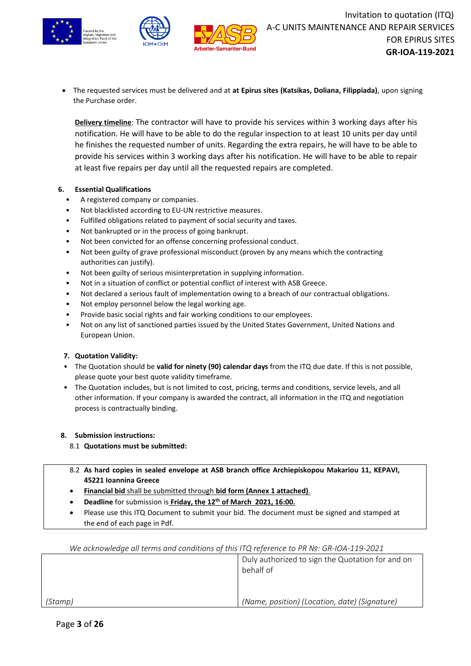



• The requested services must be delivered and at **at Epirus sites (Katsikas, Doliana, Filippiada)**, upon signing the Purchase order.

**Delivery timeline**: The contractor will have to provide his services within 3 working days after his notification. He will have to be able to do the regular inspection to at least 10 units per day until he finishes the requested number of units. Regarding the extra repairs, he will have to be able to provide his services within 3 working days after his notification. He will have to be able to repair at least five repairs per day until all the requested repairs are completed.

#### **6. Essential Qualifications**

- A registered company or companies.
- Not blacklisted according to EU-UN restrictive measures.
- Fulfilled obligations related to payment of social security and taxes.
- Not bankrupted or in the process of going bankrupt.
- Not been convicted for an offense concerning professional conduct.
- Not been guilty of grave professional misconduct (proven by any means which the contracting authorities can justify).
- Not been guilty of serious misinterpretation in supplying information.
- Not in a situation of conflict or potential conflict of interest with ASB Greece.
- Not declared a serious fault of implementation owing to a breach of our contractual obligations.
- Not employ personnel below the legal working age.
- Provide basic social rights and fair working conditions to our employees.
- Not on any list of sanctioned parties issued by the United States Government, United Nations and European Union.

#### **7. Quotation Validity:**

- The Quotation should be **valid for ninety (90) calendar days** from the ITQ due date. If this is not possible, please quote your best quote validity timeframe.
- The Quotation includes, but is not limited to cost, pricing, terms and conditions, service levels, and all other information. If your company is awarded the contract, all information in the ITQ and negotiation process is contractually binding.

#### **8. Submission instructions:**

- 8.1 **Quotations must be submitted:**
- 8.2 **As hard copies in sealed envelope at ASB branch office Archiepiskopou Makariou 11, KEPAVI, 45221 Ioannina Greece**
- **Financial bid** shall be submitted through **bid form (Annex 1 attached)**.
- **Deadline** for submission is **Friday, the 12th of March 2021, 16:00.**
- Please use this ITQ Document to submit your bid. The document must be signed and stamped at the end of each page in Pdf.

| We acknowledge all terms and conditions of this ITQ reference to PR Nº: GR-IOA-119-2021 |                                                               |  |  |
|-----------------------------------------------------------------------------------------|---------------------------------------------------------------|--|--|
|                                                                                         | Duly authorized to sign the Quotation for and on<br>behalf of |  |  |
|                                                                                         |                                                               |  |  |
| (Stamp)                                                                                 | (Name, position) (Location, date) (Signature)                 |  |  |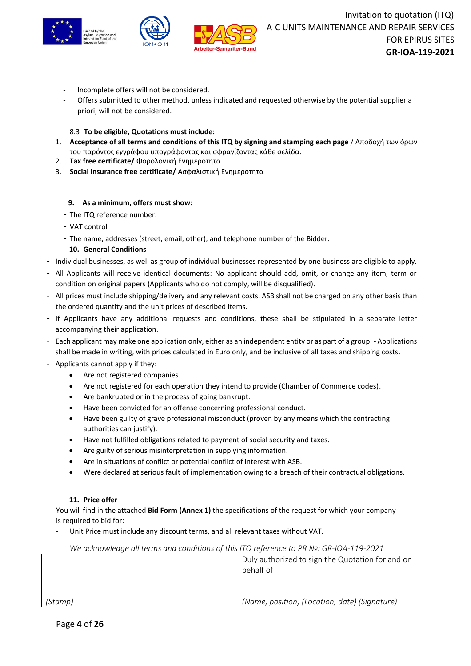



- Incomplete offers will not be considered.
- Offers submitted to other method, unless indicated and requested otherwise by the potential supplier a priori, will not be considered.

#### 8.3 **To be eligible, Quotations must include:**

- 1. **Acceptance of all terms and conditions of this ITQ by signing and stamping each page** / Αποδοχή των όρων του παρόντος εγγράφου υπογράφοντας και σφραγίζοντας κάθε σελίδα.
- 2. **Tax free certificate/** Φορολογική Ενημερότητα
- 3. **Social insurance free certificate/** Ασφαλιστική Ενημερότητα

#### **9. As a minimum, offers must show:**

- The ITQ reference number.
- VAT control
- The name, addresses (street, email, other), and telephone number of the Bidder.

#### **10. General Conditions**

- Individual businesses, as well as group of individual businesses represented by one business are eligible to apply.
- All Applicants will receive identical documents: No applicant should add, omit, or change any item, term or condition on original papers (Applicants who do not comply, will be disqualified).
- All prices must include shipping/delivery and any relevant costs. ASB shall not be charged on any other basis than the ordered quantity and the unit prices of described items.
- If Applicants have any additional requests and conditions, these shall be stipulated in a separate letter accompanying their application.
- Each applicant may make one application only, either as an independent entity or as part of a group. Applications shall be made in writing, with prices calculated in Euro only, and be inclusive of all taxes and shipping costs.
- Applicants cannot apply if they:
	- Are not registered companies.
	- Are not registered for each operation they intend to provide (Chamber of Commerce codes).
	- Are bankrupted or in the process of going bankrupt.
	- Have been convicted for an offense concerning professional conduct.
	- Have been guilty of grave professional misconduct (proven by any means which the contracting authorities can justify).
	- Have not fulfilled obligations related to payment of social security and taxes.
	- Are guilty of serious misinterpretation in supplying information.
	- Are in situations of conflict or potential conflict of interest with ASB.
	- Were declared at serious fault of implementation owing to a breach of their contractual obligations.

#### **11. Price offer**

You will find in the attached **Bid Form (Annex 1)** the specifications of the request for which your company is required to bid for:

Unit Price must include any discount terms, and all relevant taxes without VAT.

| We acknowledge all terms and conditions of this ITQ reference to PR Nº: GR-IOA-119-2021 |                                                               |  |  |
|-----------------------------------------------------------------------------------------|---------------------------------------------------------------|--|--|
|                                                                                         | Duly authorized to sign the Quotation for and on<br>behalf of |  |  |
|                                                                                         |                                                               |  |  |
| (Stamp)                                                                                 | (Name, position) (Location, date) (Signature)                 |  |  |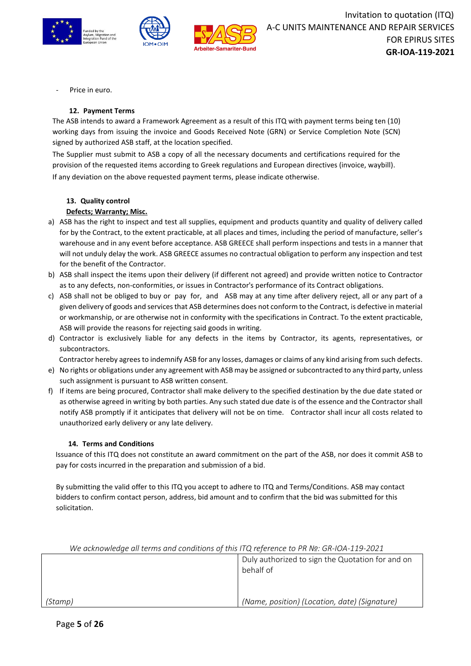



Price in euro.

#### **12. Payment Terms**

The ASB intends to award a Framework Agreement as a result of this ITQ with payment terms being ten (10) working days from issuing the invoice and Goods Received Note (GRN) or Service Completion Note (SCN) signed by authorized ASB staff, at the location specified.

The Supplier must submit to ASB a copy of all the necessary documents and certifications required for the provision of the requested items according to Greek regulations and European directives (invoice, waybill). If any deviation on the above requested payment terms, please indicate otherwise.

#### **13. Quality control**

#### **Defects; Warranty; Misc.**

- a) ASB has the right to inspect and test all supplies, equipment and products quantity and quality of delivery called for by the Contract, to the extent practicable, at all places and times, including the period of manufacture, seller's warehouse and in any event before acceptance. ASB GREECE shall perform inspections and tests in a manner that will not unduly delay the work. ASB GREECE assumes no contractual obligation to perform any inspection and test for the benefit of the Contractor.
- b) ASB shall inspect the items upon their delivery (if different not agreed) and provide written notice to Contractor as to any defects, non-conformities, or issues in Contractor's performance of its Contract obligations.
- c) ASB shall not be obliged to buy or pay for, and ASB may at any time after delivery reject, all or any part of a given delivery of goods and services that ASB determines does not conform to the Contract, is defective in material or workmanship, or are otherwise not in conformity with the specifications in Contract. To the extent practicable, ASB will provide the reasons for rejecting said goods in writing.
- d) Contractor is exclusively liable for any defects in the items by Contractor, its agents, representatives, or subcontractors.

Contractor hereby agrees to indemnify ASB for any losses, damages or claims of any kind arising from such defects. e) No rights or obligations under any agreement with ASB may be assigned orsubcontracted to any third party, unless

- such assignment is pursuant to ASB written consent.
- f) If items are being procured, Contractor shall make delivery to the specified destination by the due date stated or as otherwise agreed in writing by both parties. Any such stated due date is of the essence and the Contractor shall notify ASB promptly if it anticipates that delivery will not be on time. Contractor shall incur all costs related to unauthorized early delivery or any late delivery.

#### **14. Terms and Conditions**

Issuance of this ITQ does not constitute an award commitment on the part of the ASB, nor does it commit ASB to pay for costs incurred in the preparation and submission of a bid.

By submitting the valid offer to this ITQ you accept to adhere to ITQ and Terms/Conditions. ASB may contact bidders to confirm contact person, address, bid amount and to confirm that the bid was submitted for this solicitation.

| The acknowledge all terms and conditions of this ITQ reference to PR Nº. GR-IOA-119-2021 |                                                               |
|------------------------------------------------------------------------------------------|---------------------------------------------------------------|
|                                                                                          | Duly authorized to sign the Quotation for and on<br>behalf of |
| (Stamp)                                                                                  | (Name, position) (Location, date) (Signature)                 |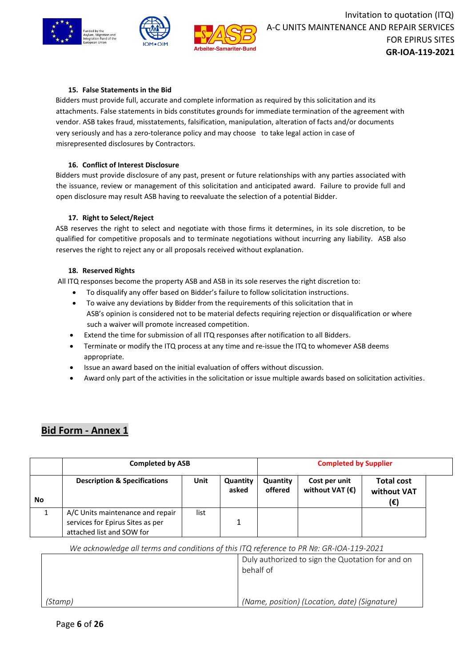



### **15. False Statements in the Bid**

Bidders must provide full, accurate and complete information as required by this solicitation and its attachments. False statements in bids constitutes grounds for immediate termination of the agreement with vendor. ASB takes fraud, misstatements, falsification, manipulation, alteration of facts and/or documents very seriously and has a zero-tolerance policy and may choose to take legal action in case of misrepresented disclosures by Contractors.

#### **16. Conflict of Interest Disclosure**

Bidders must provide disclosure of any past, present or future relationships with any parties associated with the issuance, review or management of this solicitation and anticipated award. Failure to provide full and open disclosure may result ASB having to reevaluate the selection of a potential Bidder.

#### **17. Right to Select/Reject**

ASB reserves the right to select and negotiate with those firms it determines, in its sole discretion, to be qualified for competitive proposals and to terminate negotiations without incurring any liability. ASB also reserves the right to reject any or all proposals received without explanation.

#### **18. Reserved Rights**

All ITQ responses become the property ASB and ASB in its sole reserves the right discretion to:

- To disqualify any offer based on Bidder's failure to follow solicitation instructions.
- To waive any deviations by Bidder from the requirements of this solicitation that in ASB's opinion is considered not to be material defects requiring rejection or disqualification or where such a waiver will promote increased competition.
- Extend the time for submission of all ITQ responses after notification to all Bidders.
- Terminate or modify the ITQ process at any time and re-issue the ITQ to whomever ASB deems appropriate.
- Issue an award based on the initial evaluation of offers without discussion.
- Award only part of the activities in the solicitation or issue multiple awards based on solicitation activities.

# **Bid Form - Annex 1**

|           | <b>Completed by ASB</b>                                                                           |      |                   | <b>Completed by Supplier</b> |                                           |                                         |  |
|-----------|---------------------------------------------------------------------------------------------------|------|-------------------|------------------------------|-------------------------------------------|-----------------------------------------|--|
| <b>No</b> | <b>Description &amp; Specifications</b>                                                           | Unit | Quantity<br>asked | Quantity<br>offered          | Cost per unit<br>without VAT $(\epsilon)$ | <b>Total cost</b><br>without VAT<br>(€) |  |
|           | A/C Units maintenance and repair<br>services for Epirus Sites as per<br>attached list and SOW for | list |                   |                              |                                           |                                         |  |

|         | Duly authorized to sign the Quotation for and on<br>behalf of |
|---------|---------------------------------------------------------------|
| (Stamp) | (Name, position) (Location, date) (Signature)                 |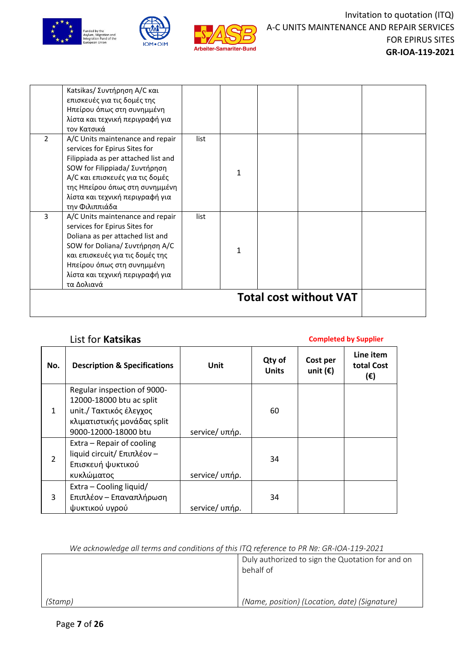



|                | Katsikas/ Συντήρηση Α/C και<br>επισκευές για τις δομές της<br>Ηπείρου όπως στη συνημμένη<br>λίστα και τεχνική περιγραφή για<br>τον Κατσικά                                                                                                                          |      |   |                               |  |
|----------------|---------------------------------------------------------------------------------------------------------------------------------------------------------------------------------------------------------------------------------------------------------------------|------|---|-------------------------------|--|
| $\overline{2}$ | A/C Units maintenance and repair<br>services for Epirus Sites for<br>Filippiada as per attached list and<br>SOW for Filippiada/ Συντήρηση<br>Α/C και επισκευές για τις δομές<br>της Ηπείρου όπως στη συνημμένη<br>λίστα και τεχνική περιγραφή για<br>την Φιλιππιάδα | list | 1 |                               |  |
| 3              | A/C Units maintenance and repair<br>services for Epirus Sites for<br>Doliana as per attached list and<br>SOW for Doliana/ Συντήρηση Α/C<br>και επισκευές για τις δομές της<br>Ηπείρου όπως στη συνημμένη<br>λίστα και τεχνική περιγραφή για<br>τα Δολιανά           | list | 1 |                               |  |
|                |                                                                                                                                                                                                                                                                     |      |   | <b>Total cost without VAT</b> |  |

# List for **Katsikas Completed by Supplier**

| No.          | <b>Description &amp; Specifications</b> | Unit           | Qty of<br><b>Units</b> | Cost per<br>unit $(\epsilon)$ | Line item<br>total Cost<br>(€) |
|--------------|-----------------------------------------|----------------|------------------------|-------------------------------|--------------------------------|
|              | Regular inspection of 9000-             |                |                        |                               |                                |
|              | 12000-18000 btu ac split                |                |                        |                               |                                |
| $\mathbf{1}$ | unit./ Τακτικός έλεγχος                 |                | 60                     |                               |                                |
|              | κλιματιστικής μονάδας split             |                |                        |                               |                                |
|              | 9000-12000-18000 btu                    | service/ υπήρ. |                        |                               |                                |
|              | Extra - Repair of cooling               |                |                        |                               |                                |
| 2            | liquid circuit/ Επιπλέον -              |                | 34                     |                               |                                |
|              | Επισκευή ψυκτικού                       |                |                        |                               |                                |
|              | κυκλώματος                              | service/ υπήρ. |                        |                               |                                |
|              | Extra - Cooling liquid/                 |                |                        |                               |                                |
| 3            | Επιπλέον – Επαναπλήρωση                 |                | 34                     |                               |                                |
|              | ψυκτικού υγρού                          | service/ υπήρ. |                        |                               |                                |

|         | Duly authorized to sign the Quotation for and on<br>behalf of |
|---------|---------------------------------------------------------------|
| (Stamp) | (Name, position) (Location, date) (Signature)                 |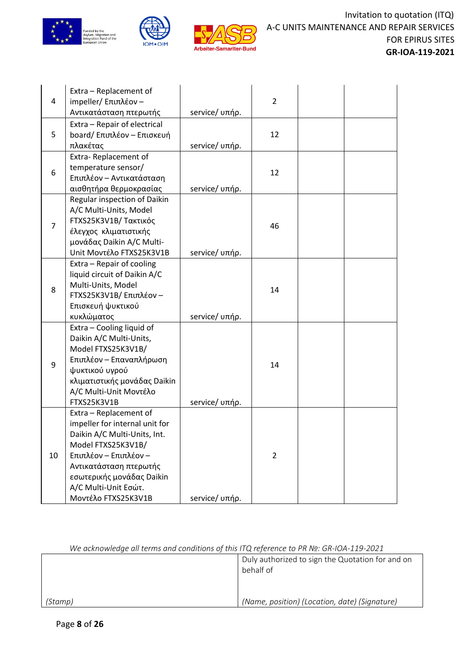





|                | Extra - Replacement of                                    |                |                |  |
|----------------|-----------------------------------------------------------|----------------|----------------|--|
| 4              | impeller/ Επιπλέον -                                      |                | $\overline{2}$ |  |
|                | Αντικατάσταση πτερωτής                                    | service/ υπήρ. |                |  |
|                | Extra - Repair of electrical                              |                |                |  |
| 5              | board/ Επιπλέον - Επισκευή                                |                | 12             |  |
|                | πλακέτας                                                  | service/ υπήρ. |                |  |
|                | Extra-Replacement of                                      |                |                |  |
| 6              | temperature sensor/                                       |                | 12             |  |
|                | Επιπλέον – Αντικατάσταση                                  |                |                |  |
|                | αισθητήρα θερμοκρασίας                                    | service/ υπήρ. |                |  |
|                | Regular inspection of Daikin                              |                |                |  |
|                | A/C Multi-Units, Model                                    |                |                |  |
| $\overline{7}$ | FTXS25K3V1B/ Τακτικός                                     |                | 46             |  |
|                | έλεγχος κλιματιστικής                                     |                |                |  |
|                | μονάδας Daikin A/C Multi-<br>Unit Μοντέλο FTXS25K3V1B     |                |                |  |
|                |                                                           | service/ υπήρ. |                |  |
|                | Extra - Repair of cooling<br>liquid circuit of Daikin A/C |                |                |  |
|                | Multi-Units, Model                                        |                |                |  |
| 8              | FTXS25K3V1B/ Επιπλέον -                                   |                | 14             |  |
|                | Επισκευή ψυκτικού                                         |                |                |  |
|                | κυκλώματος                                                | service/ υπήρ. |                |  |
|                | Extra - Cooling liquid of                                 |                |                |  |
|                | Daikin A/C Multi-Units,                                   |                |                |  |
|                | Model FTXS25K3V1B/                                        |                |                |  |
|                | Επιπλέον – Επαναπλήρωση                                   |                |                |  |
| 9              | ψυκτικού υγρού                                            |                | 14             |  |
|                | κλιματιστικής μονάδας Daikin                              |                |                |  |
|                | A/C Multi-Unit Μοντέλο                                    |                |                |  |
|                | FTXS25K3V1B                                               | service/ υπήρ. |                |  |
|                | Extra - Replacement of                                    |                |                |  |
|                | impeller for internal unit for                            |                |                |  |
|                | Daikin A/C Multi-Units, Int.                              |                |                |  |
|                | Model FTXS25K3V1B/                                        |                |                |  |
| 10             | Επιπλέον - Επιπλέον -                                     |                | $\overline{2}$ |  |
|                | Αντικατάσταση πτερωτής                                    |                |                |  |
|                | εσωτερικής μονάδας Daikin                                 |                |                |  |
|                | A/C Multi-Unit Εσώτ.                                      |                |                |  |
|                | Μοντέλο FTXS25K3V1B                                       | service/ υπήρ. |                |  |

|         | Duly authorized to sign the Quotation for and on<br>behalf of |
|---------|---------------------------------------------------------------|
| (Stamp) | (Name, position) (Location, date) (Signature)                 |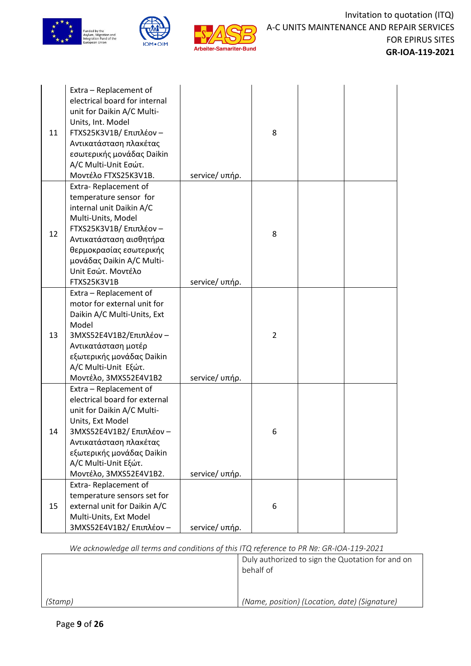

| 11 | Extra - Replacement of<br>electrical board for internal<br>unit for Daikin A/C Multi-<br>Units, Int. Model<br>FTXS25K3V1B/ Επιπλέον -<br>Αντικατάσταση πλακέτας<br>εσωτερικής μονάδας Daikin<br>A/C Multi-Unit Εσώτ.<br>Μοντέλο FTXS25K3V1B.        | service/ υπήρ. | 8              |  |
|----|-----------------------------------------------------------------------------------------------------------------------------------------------------------------------------------------------------------------------------------------------------|----------------|----------------|--|
| 12 | Extra-Replacement of<br>temperature sensor for<br>internal unit Daikin A/C<br>Multi-Units, Model<br>FTXS25K3V1B/ Επιπλέον -<br>Αντικατάσταση αισθητήρα<br>θερμοκρασίας εσωτερικής<br>μονάδας Daikin A/C Multi-<br>Unit Εσώτ. Μοντέλο<br>FTXS25K3V1B | service/ υπήρ. | 8              |  |
| 13 | Extra - Replacement of<br>motor for external unit for<br>Daikin A/C Multi-Units, Ext<br>Model<br>3MXS52E4V1B2/Επιπλέον -<br>Αντικατάσταση μοτέρ<br>εξωτερικής μονάδας Daikin<br>A/C Multi-Unit Εξώτ.<br>Μοντέλο, 3MXS52E4V1B2                       | service/ υπήρ. | $\overline{2}$ |  |
| 14 | Extra - Replacement of<br>electrical board for external<br>unit for Daikin A/C Multi-<br>Units, Ext Model<br>3MXS52E4V1B2/ Επιπλέον -<br>Αντικατάσταση πλακέτας<br>εξωτερικής μονάδας Daikin<br>A/C Multi-Unit Εξώτ.<br>Μοντέλο, 3MXS52E4V1B2.      | service/ υπήρ. | 6              |  |
| 15 | Extra-Replacement of<br>temperature sensors set for<br>external unit for Daikin A/C<br>Multi-Units, Ext Model<br>3MXS52E4V1B2/ Επιπλέον -                                                                                                           | service/ υπήρ. | 6              |  |

|         | Duly authorized to sign the Quotation for and on<br>behalf of |
|---------|---------------------------------------------------------------|
| (Stamp) | (Name, position) (Location, date) (Signature)                 |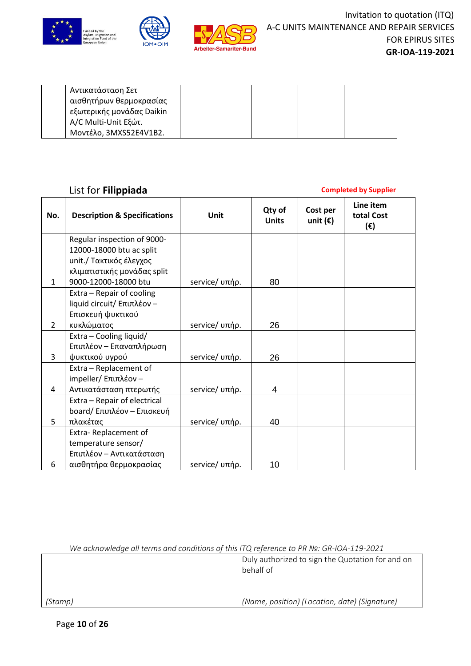



| Αντικατάσταση Σετ         |  |  |
|---------------------------|--|--|
| αισθητήρων θερμοκρασίας   |  |  |
| εξωτερικής μονάδας Daikin |  |  |
| A/C Multi-Unit Εξώτ.      |  |  |
| Μοντέλο, 3MXS52E4V1B2.    |  |  |

# List for **Filippiada Completed by Supplier**

| No.            | <b>Description &amp; Specifications</b> | Unit           | Qty of<br><b>Units</b> | Cost per<br>unit $(\epsilon)$ | Line item<br>total Cost<br>$(\epsilon)$ |
|----------------|-----------------------------------------|----------------|------------------------|-------------------------------|-----------------------------------------|
|                | Regular inspection of 9000-             |                |                        |                               |                                         |
|                | 12000-18000 btu ac split                |                |                        |                               |                                         |
|                | unit./ Τακτικός έλεγχος                 |                |                        |                               |                                         |
|                | κλιματιστικής μονάδας split             |                |                        |                               |                                         |
| $\mathbf{1}$   | 9000-12000-18000 btu                    | service/ υπήρ. | 80                     |                               |                                         |
|                | Extra - Repair of cooling               |                |                        |                               |                                         |
|                | liquid circuit/ Επιπλέον -              |                |                        |                               |                                         |
|                | Επισκευή ψυκτικού                       |                |                        |                               |                                         |
| $\overline{2}$ | κυκλώματος                              | service/ υπήρ. | 26                     |                               |                                         |
|                | Extra - Cooling liquid/                 |                |                        |                               |                                         |
|                | Επιπλέον - Επαναπλήρωση                 |                |                        |                               |                                         |
| 3              | ψυκτικού υγρού                          | service/ υπήρ. | 26                     |                               |                                         |
|                | Extra - Replacement of                  |                |                        |                               |                                         |
|                | impeller/ Επιπλέον -                    |                |                        |                               |                                         |
| 4              | Αντικατάσταση πτερωτής                  | service/ υπήρ. | 4                      |                               |                                         |
|                | Extra - Repair of electrical            |                |                        |                               |                                         |
|                | board/ Επιπλέον - Επισκευή              |                |                        |                               |                                         |
| 5              | πλακέτας                                | service/ υπήρ. | 40                     |                               |                                         |
|                | Extra-Replacement of                    |                |                        |                               |                                         |
|                | temperature sensor/                     |                |                        |                               |                                         |
|                | Επιπλέον – Αντικατάσταση                |                |                        |                               |                                         |
| 6              | αισθητήρα θερμοκρασίας                  | service/ υπήρ. | 10                     |                               |                                         |

|         | Duly authorized to sign the Quotation for and on<br>behalf of |
|---------|---------------------------------------------------------------|
| (Stamp) | (Name, position) (Location, date) (Signature)                 |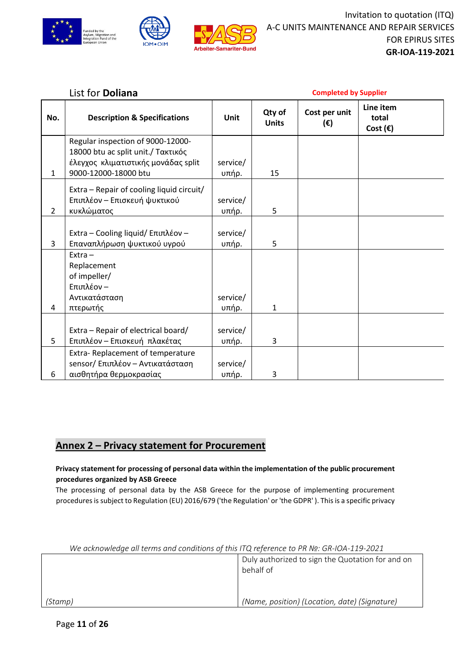



# List for **Doliana Completed by Supplier**

| No.            | <b>Description &amp; Specifications</b>   | Unit     | Qty of<br><b>Units</b> | Cost per unit<br>$(\epsilon)$ | Line item<br>total<br>Cost $(\epsilon)$ |
|----------------|-------------------------------------------|----------|------------------------|-------------------------------|-----------------------------------------|
|                | Regular inspection of 9000-12000-         |          |                        |                               |                                         |
|                | 18000 btu ac split unit./ Τακτικός        |          |                        |                               |                                         |
|                | έλεγχος κλιματιστικής μονάδας split       | service/ |                        |                               |                                         |
| $\mathbf{1}$   | 9000-12000-18000 btu                      | υπήρ.    | 15                     |                               |                                         |
|                | Extra - Repair of cooling liquid circuit/ |          |                        |                               |                                         |
|                | Επιπλέον - Επισκευή ψυκτικού              | service/ |                        |                               |                                         |
| $\overline{2}$ | κυκλώματος                                | υπήρ.    | 5                      |                               |                                         |
|                |                                           |          |                        |                               |                                         |
|                | Extra - Cooling liquid/ Επιπλέον -        | service/ |                        |                               |                                         |
| 3              | Επαναπλήρωση ψυκτικού υγρού               | υπήρ.    | 5                      |                               |                                         |
|                | $Extra -$                                 |          |                        |                               |                                         |
|                | Replacement                               |          |                        |                               |                                         |
|                | of impeller/                              |          |                        |                               |                                         |
|                | Επιπλέον -                                |          |                        |                               |                                         |
|                | Αντικατάσταση                             | service/ |                        |                               |                                         |
| 4              | πτερωτής                                  | υπήρ.    | $\mathbf{1}$           |                               |                                         |
|                |                                           |          |                        |                               |                                         |
|                | Extra - Repair of electrical board/       | service/ |                        |                               |                                         |
| 5              | Επιπλέον - Επισκευή πλακέτας              | υπήρ.    | 3                      |                               |                                         |
|                | Extra-Replacement of temperature          |          |                        |                               |                                         |
|                | sensor/ Επιπλέον - Αντικατάσταση          | service/ |                        |                               |                                         |
| 6              | αισθητήρα θερμοκρασίας                    | υπήρ.    | 3                      |                               |                                         |

# **Annex 2 – Privacy statement for Procurement**

### **Privacy statement for processing of personal data within the implementation of the public procurement procedures organized by ASB Greece**

The processing of personal data by the ASB Greece for the purpose of implementing procurement procedures is subject to Regulation (EU) 2016/679 ('the Regulation' or 'the GDPR' ). This is a specific privacy

| We acknowledge all terms and conditions of this ITQ reference to PR No: $GR$ -IOA-119-2021 |                                                               |  |
|--------------------------------------------------------------------------------------------|---------------------------------------------------------------|--|
|                                                                                            | Duly authorized to sign the Quotation for and on<br>behalf of |  |
| (Stamp)                                                                                    | (Name, position) (Location, date) (Signature)                 |  |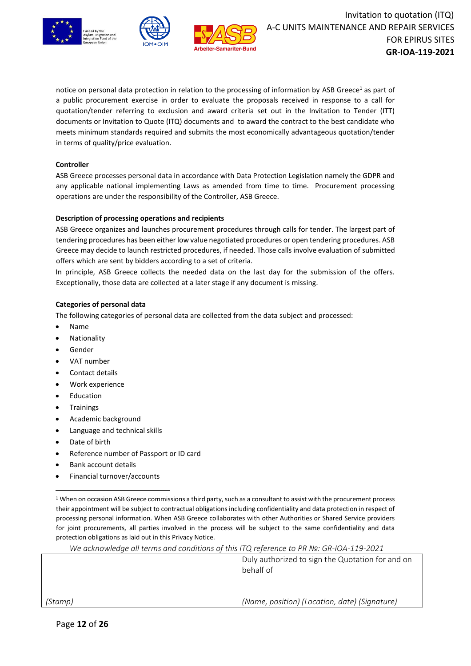





notice on personal data protection in relation to the processing of information by ASB Greece<sup>1</sup> as part of a public procurement exercise in order to evaluate the proposals received in response to a call for quotation/tender referring to exclusion and award criteria set out in the Invitation to Tender (ITT) documents or Invitation to Quote (ITQ) documents and to award the contract to the best candidate who meets minimum standards required and submits the most economically advantageous quotation/tender in terms of quality/price evaluation.

#### **Controller**

ASB Greece processes personal data in accordance with Data Protection Legislation namely the GDPR and any applicable national implementing Laws as amended from time to time. Procurement processing operations are under the responsibility of the Controller, ASB Greece.

#### **Description of processing operations and recipients**

ASB Greece organizes and launches procurement procedures through calls for tender. The largest part of tendering procedures has been either low value negotiated procedures or open tendering procedures. ASB Greece may decide to launch restricted procedures, if needed. Those calls involve evaluation of submitted offers which are sent by bidders according to a set of criteria.

In principle, ASB Greece collects the needed data on the last day for the submission of the offers. Exceptionally, those data are collected at a later stage if any document is missing.

#### **Categories of personal data**

The following categories of personal data are collected from the data subject and processed:

- Name
- **Nationality**
- **Gender**
- VAT number
- Contact details
- Work experience
- **Education**
- **Trainings**
- Academic background
- Language and technical skills
- Date of birth
- Reference number of Passport or ID card
- Bank account details
- Financial turnover/accounts

|         | Duly authorized to sign the Quotation for and on<br>behalf of |  |
|---------|---------------------------------------------------------------|--|
|         |                                                               |  |
| (Stamp) | (Name, position) (Location, date) (Signature)                 |  |

 $1$  When on occasion ASB Greece commissions a third party, such as a consultant to assist with the procurement process their appointment will be subject to contractual obligations including confidentiality and data protection in respect of processing personal information. When ASB Greece collaborates with other Authorities or Shared Service providers for joint procurements, all parties involved in the process will be subject to the same confidentiality and data protection obligations as laid out in this Privacy Notice.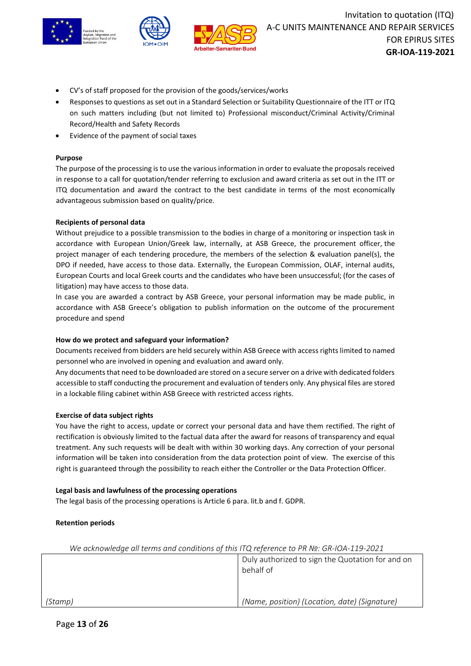



- CV's of staff proposed for the provision of the goods/services/works
- Responses to questions as set out in a Standard Selection or Suitability Questionnaire of the ITT or ITQ on such matters including (but not limited to) Professional misconduct/Criminal Activity/Criminal Record/Health and Safety Records
- Evidence of the payment of social taxes

#### **Purpose**

The purpose of the processing is to use the various information in order to evaluate the proposals received in response to a call for quotation/tender referring to exclusion and award criteria as set out in the ITT or ITQ documentation and award the contract to the best candidate in terms of the most economically advantageous submission based on quality/price.

#### **Recipients of personal data**

Without prejudice to a possible transmission to the bodies in charge of a monitoring or inspection task in accordance with European Union/Greek law, internally, at ASB Greece, the procurement officer, the project manager of each tendering procedure, the members of the selection & evaluation panel(s), the DPO if needed, have access to those data. Externally, the European Commission, OLAF, internal audits, European Courts and local Greek courts and the candidates who have been unsuccessful; (for the cases of litigation) may have access to those data.

In case you are awarded a contract by ASB Greece, your personal information may be made public, in accordance with ASB Greece's obligation to publish information on the outcome of the procurement procedure and spend

#### **How do we protect and safeguard your information?**

Documents received from bidders are held securely within ASB Greece with access rights limited to named personnel who are involved in opening and evaluation and award only.

Any documents that need to be downloaded are stored on a secure server on a drive with dedicated folders accessible to staff conducting the procurement and evaluation of tenders only. Any physical files are stored in a lockable filing cabinet within ASB Greece with restricted access rights.

#### **Exercise of data subject rights**

You have the right to access, update or correct your personal data and have them rectified. The right of rectification is obviously limited to the factual data after the award for reasons of transparency and equal treatment. Any such requests will be dealt with within 30 working days. Any correction of your personal information will be taken into consideration from the data protection point of view. The exercise of this right is guaranteed through the possibility to reach either the Controller or the Data Protection Officer.

#### **Legal basis and lawfulness of the processing operations**

The legal basis of the processing operations is Article 6 para. lit.b and f. GDPR.

#### **Retention periods**

|         | Duly authorized to sign the Quotation for and on<br>behalf of |
|---------|---------------------------------------------------------------|
|         |                                                               |
| (Stamp) | (Name, position) (Location, date) (Signature)                 |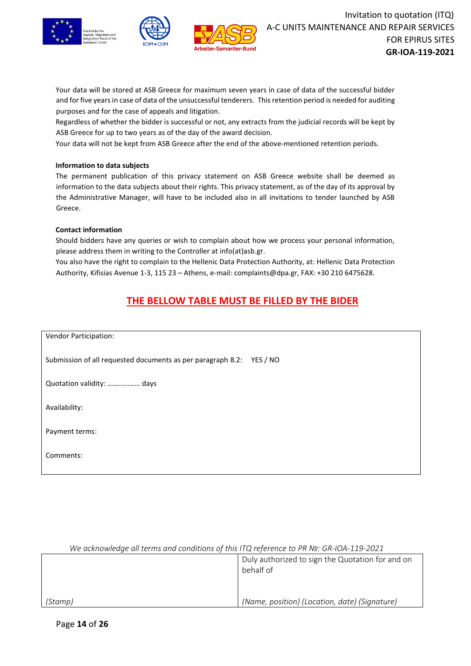





Your data will be stored at ASB Greece for maximum seven years in case of data of the successful bidder and for five years in case of data of the unsuccessful tenderers. This retention period is needed for auditing purposes and for the case of appeals and litigation.

Regardless of whether the bidder is successful or not, any extracts from the judicial records will be kept by ASB Greece for up to two years as of the day of the award decision.

Your data will not be kept from ASB Greece after the end of the above-mentioned retention periods.

#### **Information to data subjects**

The permanent publication of this privacy statement on ASB Greece website shall be deemed as information to the data subjects about their rights. This privacy statement, as of the day of its approval by the Administrative Manager, will have to be included also in all invitations to tender launched by ASB Greece.

#### **Contact information**

Should bidders have any queries or wish to complain about how we process your personal information, please address them in writing to the Controller at info(at)asb.gr.

You also have the right to complain to the Hellenic Data Protection Authority, at: Hellenic Data Protection Authority, Kifisias Avenue 1-3, 115 23 – Athens, e-mail: complaints@dpa.gr, FAX: +30 210 6475628.

# **THE BELLOW TABLE MUST BE FILLED BY THE BIDER**

Vendor Participation: Submission of all requested documents as per paragraph 8.2: YES / NO Quotation validity: ……………… days Availability: Payment terms: Comments:

| We acknowledge all terms and conditions of this ITQ reference to PR Nº: GR-IOA-119-2021 |                                                               |  |
|-----------------------------------------------------------------------------------------|---------------------------------------------------------------|--|
|                                                                                         | Duly authorized to sign the Quotation for and on<br>behalf of |  |
| (Stamp)                                                                                 | (Name, position) (Location, date) (Signature)                 |  |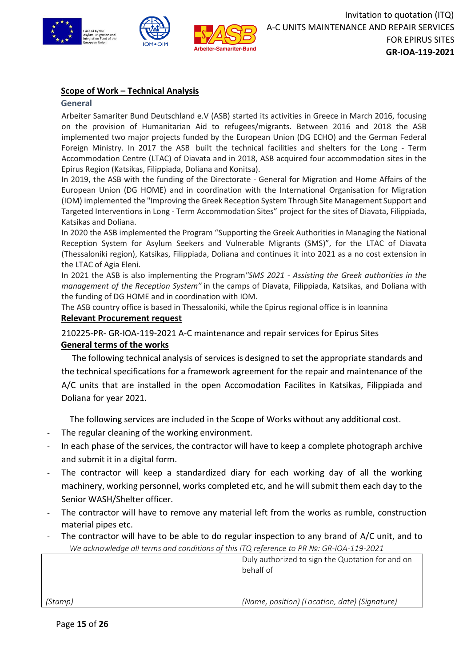

# **Scope of Work – Technical Analysis**

#### **General**

Arbeiter Samariter Bund Deutschland e.V (ASB) started its activities in Greece in March 2016, focusing on the provision of Humanitarian Aid to refugees/migrants. Between 2016 and 2018 the ASB implemented two major projects funded by the European Union (DG ECHO) and the German Federal Foreign Ministry. In 2017 the ASB built the technical facilities and shelters for the Long - Term Accommodation Centre (LTAC) of Diavata and in 2018, ASB acquired four accommodation sites in the Epirus Region (Katsikas, Filippiada, Doliana and Konitsa).

In 2019, the ASB with the funding of the Directorate - General for Migration and Home Affairs of the European Union (DG HOME) and in coordination with the International Organisation for Migration (IOM) implemented the "Improving the Greek Reception System Through Site Management Support and Targeted Interventions in Long - Term Accommodation Sites" project for the sites of Diavata, Filippiada, Katsikas and Doliana.

In 2020 the ASB implemented the Program "Supporting the Greek Authorities in Managing the National Reception System for Asylum Seekers and Vulnerable Migrants (SMS)", for the LTAC of Diavata (Thessaloniki region), Katsikas, Filippiada, Doliana and continues it into 2021 as a no cost extension in the LTAC of Agia Eleni.

In 2021 the ASB is also implementing the Program*"SMS 2021 - Assisting the Greek authorities in the management of the Reception System"* in the camps of Diavata, Filippiada, Katsikas, and Doliana with the funding of DG HOME and in coordination with IOM.

The ASB country office is based in Thessaloniki, while the Epirus regional office is in Ioannina

## **Relevant Procurement request**

210225-PR- GR-ΙΟΑ-119-2021 A-C maintenance and repair services for Epirus Sites

## **General terms of the works**

The following technical analysis of services is designed to set the appropriate standards and the technical specifications for a framework agreement for the repair and maintenance of the A/C units that are installed in the open Accomodation Facilites in Katsikas, Filippiada and Doliana for year 2021.

The following services are included in the Scope of Works without any additional cost.

- The regular cleaning of the working environment.
- In each phase of the services, the contractor will have to keep a complete photograph archive and submit it in a digital form.
- The contractor will keep a standardized diary for each working day of all the working machinery, working personnel, works completed etc, and he will submit them each day to the Senior WASH/Shelter officer.
- The contractor will have to remove any material left from the works as rumble, construction material pipes etc.
- *We acknowledge all terms and conditions of this ITQ reference to PR №: GR-IOA-119-2021* The contractor will have to be able to do regular inspection to any brand of A/C unit, and to

|         | Duly authorized to sign the Quotation for and on<br>behalf of |
|---------|---------------------------------------------------------------|
| (Stamp) | (Name, position) (Location, date) (Signature)                 |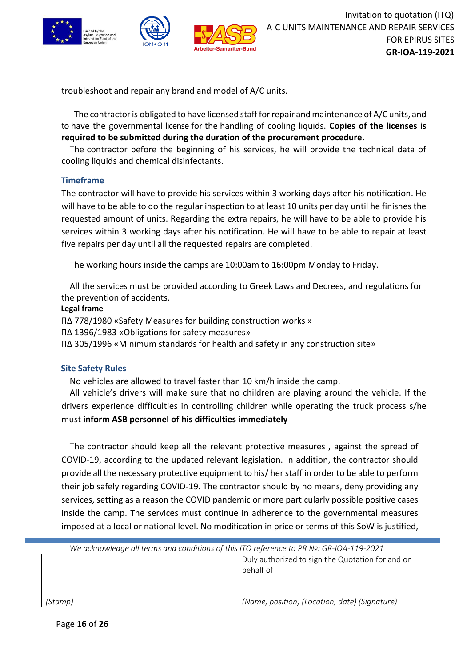

troubleshoot and repair any brand and model of A/C units.

The contractor is obligated to have licensed staff for repair and maintenance of A/C units, and to have the governmental license for the handling of cooling liquids. **Copies of the licenses is required to be submitted during the duration of the procurement procedure.**

The contractor before the beginning of his services, he will provide the technical data of cooling liquids and chemical disinfectants.

## **Timeframe**

The contractor will have to provide his services within 3 working days after his notification. He will have to be able to do the regular inspection to at least 10 units per day until he finishes the requested amount of units. Regarding the extra repairs, he will have to be able to provide his services within 3 working days after his notification. He will have to be able to repair at least five repairs per day until all the requested repairs are completed.

The working hours inside the camps are 10:00am to 16:00pm Monday to Friday.

All the services must be provided according to Greek Laws and Decrees, and regulations for the prevention of accidents.

### **Legal frame**

ΠΔ 778/1980 «Safety Measures for building construction works » ΠΔ 1396/1983 «Obligations for safety measures» ΠΔ 305/1996 «Minimum standards for health and safety in any construction site»

## **Site Safety Rules**

No vehicles are allowed to travel faster than 10 km/h inside the camp.

All vehicle's drivers will make sure that no children are playing around the vehicle. If the drivers experience difficulties in controlling children while operating the truck process s/he must **inform ASB personnel of his difficulties immediately**

The contractor should keep all the relevant protective measures , against the spread of COVID-19, according to the updated relevant legislation. In addition, the contractor should provide all the necessary protective equipment to his/ her staff in order to be able to perform their job safely regarding COVID-19. The contractor should by no means, deny providing any services, setting as a reason the COVID pandemic or more particularly possible positive cases inside the camp. The services must continue in adherence to the governmental measures imposed at a local or national level. No modification in price or terms of this SoW is justified,

| We acknowledge all terms and conditions of this ITQ reference to PR Nº: GR-IOA-119-2021 |  |
|-----------------------------------------------------------------------------------------|--|
| Duly authorized to sign the Quotation for and on                                        |  |
| behalf of                                                                               |  |
|                                                                                         |  |
| (Name, position) (Location, date) (Signature)<br>Stamp)                                 |  |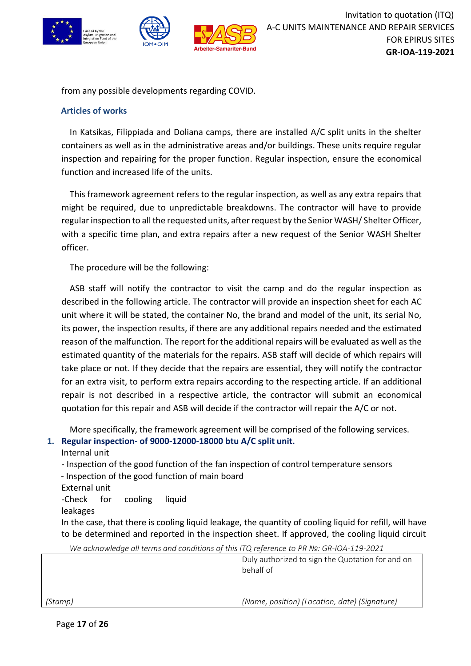

from any possible developments regarding COVID.

## **Articles of works**

In Katsikas, Filippiada and Doliana camps, there are installed A/C split units in the shelter containers as well as in the administrative areas and/or buildings. These units require regular inspection and repairing for the proper function. Regular inspection, ensure the economical function and increased life of the units.

This framework agreement refers to the regular inspection, as well as any extra repairs that might be required, due to unpredictable breakdowns. The contractor will have to provide regular inspection to all the requested units, after request by the Senior WASH/ Shelter Officer, with a specific time plan, and extra repairs after a new request of the Senior WASH Shelter officer.

The procedure will be the following:

ASB staff will notify the contractor to visit the camp and do the regular inspection as described in the following article. The contractor will provide an inspection sheet for each AC unit where it will be stated, the container No, the brand and model of the unit, its serial No, its power, the inspection results, if there are any additional repairs needed and the estimated reason of the malfunction. The report for the additional repairs will be evaluated as well as the estimated quantity of the materials for the repairs. ASB staff will decide of which repairs will take place or not. If they decide that the repairs are essential, they will notify the contractor for an extra visit, to perform extra repairs according to the respecting article. If an additional repair is not described in a respective article, the contractor will submit an economical quotation for this repair and ASB will decide if the contractor will repair the A/C or not.

More specifically, the framework agreement will be comprised of the following services. **1. Regular inspection- of 9000-12000-18000 btu A/C split unit.**

Internal unit

- Inspection of the good function of the fan inspection of control temperature sensors

- Inspection of the good function of main board

External unit

-Check for cooling liquid

leakages

In the case, that there is cooling liquid leakage, the quantity of cooling liquid for refill, will have to be determined and reported in the inspection sheet. If approved, the cooling liquid circuit

|         | Duly authorized to sign the Quotation for and on<br>behalf of |
|---------|---------------------------------------------------------------|
| (Stamp) | (Name, position) (Location, date) (Signature)                 |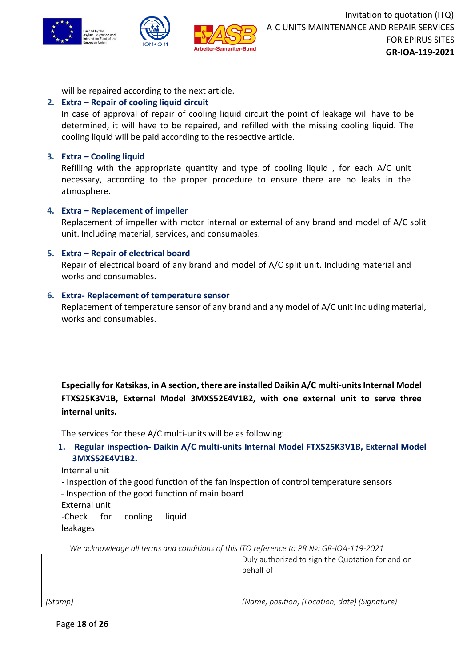

will be repaired according to the next article.

# **2. Extra – Repair of cooling liquid circuit**

In case of approval of repair of cooling liquid circuit the point of leakage will have to be determined, it will have to be repaired, and refilled with the missing cooling liquid. The cooling liquid will be paid according to the respective article.

# **3. Extra – Cooling liquid**

Refilling with the appropriate quantity and type of cooling liquid , for each A/C unit necessary, according to the proper procedure to ensure there are no leaks in the atmosphere.

# **4. Extra – Replacement of impeller**

Replacement of impeller with motor internal or external of any brand and model of A/C split unit. Including material, services, and consumables.

# **5. Extra – Repair of electrical board**

Repair of electrical board of any brand and model of A/C split unit. Including material and works and consumables.

# **6. Extra- Replacement of temperature sensor**

Replacement of temperature sensor of any brand and any model of A/C unit including material, works and consumables.

Especially for Katsikas, in A section, there are installed Daikin A/C multi-units Internal Model **FTXS25K3V1B, External Model 3MXS52E4V1B2, with one external unit to serve three internal units.**

The services for these A/C multi-units will be as following:

**1. Regular inspection- Daikin A/C multi-units Internal Model FTXS25K3V1B, External Model 3MXS52E4V1B2.**

Internal unit

- Inspection of the good function of the fan inspection of control temperature sensors
- Inspection of the good function of main board

External unit -Check for cooling liquid

leakages

|         | Duly authorized to sign the Quotation for and on<br>behalf of |
|---------|---------------------------------------------------------------|
| (Stamp) | (Name, position) (Location, date) (Signature)                 |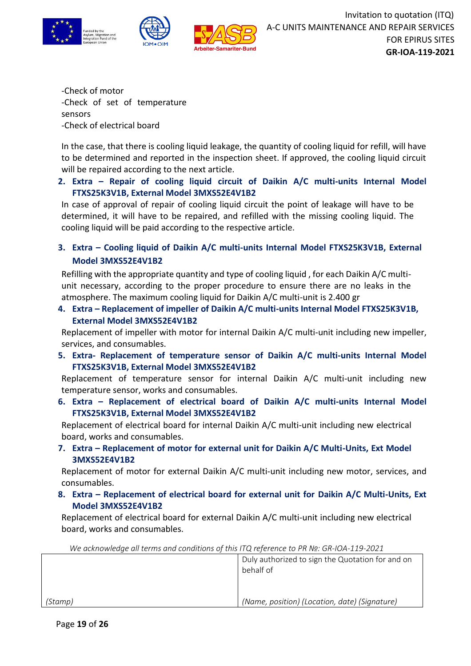



-Check of motor -Check of set of temperature sensors -Check of electrical board

In the case, that there is cooling liquid leakage, the quantity of cooling liquid for refill, will have to be determined and reported in the inspection sheet. If approved, the cooling liquid circuit will be repaired according to the next article.

# **2. Extra – Repair of cooling liquid circuit of Daikin A/C multi-units Internal Model FTXS25K3V1B, External Model 3MXS52E4V1B2**

In case of approval of repair of cooling liquid circuit the point of leakage will have to be determined, it will have to be repaired, and refilled with the missing cooling liquid. The cooling liquid will be paid according to the respective article.

**3. Extra – Cooling liquid of Daikin A/C multi-units Internal Model FTXS25K3V1B, External Model 3MXS52E4V1B2**

Refilling with the appropriate quantity and type of cooling liquid , for each Daikin A/C multiunit necessary, according to the proper procedure to ensure there are no leaks in the atmosphere. The maximum cooling liquid for Daikin A/C multi-unit is 2.400 gr

**4. Extra – Replacement of impeller of Daikin A/C multi-units Internal Model FTXS25K3V1B, External Model 3MXS52E4V1B2**

Replacement of impeller with motor for internal Daikin A/C multi-unit including new impeller, services, and consumables.

**5. Extra- Replacement of temperature sensor of Daikin A/C multi-units Internal Model FTXS25K3V1B, External Model 3MXS52E4V1B2**

Replacement of temperature sensor for internal Daikin A/C multi-unit including new temperature sensor, works and consumables.

**6. Extra – Replacement of electrical board of Daikin A/C multi-units Internal Model FTXS25K3V1B, External Model 3MXS52E4V1B2**

Replacement of electrical board for internal Daikin A/C multi-unit including new electrical board, works and consumables.

**7. Extra – Replacement of motor for external unit for Daikin A/C Multi-Units, Ext Model 3MXS52E4V1B2**

Replacement of motor for external Daikin A/C multi-unit including new motor, services, and consumables.

**8. Extra – Replacement of electrical board for external unit for Daikin A/C Multi-Units, Ext Model 3MXS52E4V1B2**

Replacement of electrical board for external Daikin A/C multi-unit including new electrical board, works and consumables.

*(Stamp)* Duly authorized to sign the Quotation for and on behalf of *(Name, position) (Location, date) (Signature)*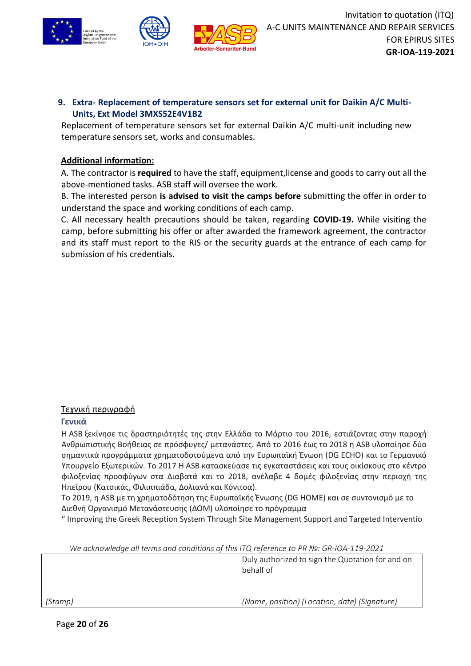

# **9. Extra- Replacement of temperature sensors set for external unit for Daikin A/C Multi-Units, Ext Model 3MXS52E4V1B2**

Replacement of temperature sensors set for external Daikin A/C multi-unit including new temperature sensors set, works and consumables.

# **Additional information:**

A. The contractor is **required** to have the staff, equipment,license and goods to carry out all the above-mentioned tasks. ASB staff will oversee the work.

B. The interested person **is advised to visit the camps before** submitting the offer in order to understand the space and working conditions of each camp.

C. All necessary health precautions should be taken, regarding **COVID-19.** While visiting the camp, before submitting his offer or after awarded the framework agreement, the contractor and its staff must report to the RIS or the security guards at the entrance of each camp for submission of his credentials.

# Τεχνική περιγραφή

## **Γενικά**

Η ASB ξεκίνησε τις δραστηριότητές της στην Ελλάδα το Μάρτιο του 2016, εστιάζοντας στην παροχή Ανθρωπιστικής Βοήθειας σε πρόσφυγες/ μετανάστες. Από το 2016 έως το 2018 η ASB υλοποίησε δύο σημαντικά προγράμματα χρηματοδοτούμενα από την Ευρωπαϊκή Ένωση (DG ECHO) και το Γερμανικό Υπουργείο Εξωτερικών. Το 2017 Η ASB κατασκεύασε τις εγκαταστάσεις και τους οικίσκους στο κέντρο φιλοξενίας προσφύγων στα Διαβατά και το 2018, ανέλαβε 4 δομές φιλοξενίας στην περιοχή της Ηπείρου (Κατσικάς, Φιλιππιάδα, Δολιανά και Κόνιτσα).

Το 2019, η ASB με τη χρηματοδότηση της Ευρωπαϊκής Ένωσης (DG HOME) και σε συντονισμό με το Διεθνή Οργανισμό Μετανάστευσης (ΔΟΜ) υλοποίησε το πρόγραμμα

" Improving the Greek Reception System Through Site Management Support and Targeted Interventio

| The acknowledge all terms and conditions of this HQ reference to PR Nº. GR-IOA-119-2021 |                                                               |
|-----------------------------------------------------------------------------------------|---------------------------------------------------------------|
|                                                                                         | Duly authorized to sign the Quotation for and on<br>behalf of |
| (Stamp)                                                                                 | (Name, position) (Location, date) (Signature)                 |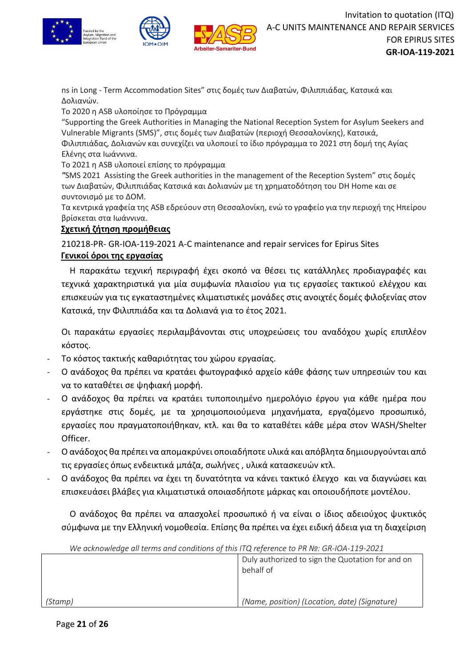



ns in Long - Term Accommodation Sites" στις δομές των Διαβατών, Φιλιππιάδας, Κατσικά και Δολιανών.

Το 2020 η ASB υλοποίησε το Πρόγραμμα

"Supporting the Greek Authorities in Managing the National Reception System for Asylum Seekers and Vulnerable Migrants (SMS)", στις δομές των Διαβατών (περιοχή Θεσσαλονίκης), Κατσικά, Φιλιππιάδας, Δολιανών και συνεχίζει να υλοποιεί το ίδιο πρόγραμμα το 2021 στη δομή της Αγίας

Ελένης στα Ιωάννινα. Το 2021 η ASB υλοποιεί επίσης το πρόγραμμα

*"*SMS 2021 Assisting the Greek authorities in the management of the Reception System" στις δομές των Διαβατών, Φιλιππιάδας Κατσικά και Δολιανών με τη χρηματοδότηση του DH Home και σε συντονισμό με το ΔΟΜ.

Τα κεντρικά γραφεία της ASΒ εδρεύουν στη Θεσσαλονίκη, ενώ το γραφείο για την περιοχή της Ηπείρου βρίσκεται στα Ιωάννινα.

# **Σχετική ζήτηση προμήθειας**

210218-PR- GR-ΙΟΑ-119-2021 A-C maintenance and repair services for Epirus Sites **Γενικοί όροι της εργασίας**

Η παρακάτω τεχνική περιγραφή έχει σκοπό να θέσει τις κατάλληλες προδιαγραφές και τεχνικά χαρακτηριστικά για μία συμφωνία πλαισίου για τις εργασίες τακτικού ελέγχου και επισκευών για τις εγκαταστημένες κλιματιστικές μονάδες στις ανοιχτές δομές φιλοξενίας στον Κατσικά, την Φιλιππιάδα και τα Δολιανά για το έτος 2021.

Οι παρακάτω εργασίες περιλαμβάνονται στις υποχρεώσεις του αναδόχου χωρίς επιπλέον κόστος.

- Το κόστος τακτικής καθαριότητας του χώρου εργασίας.
- Ο ανάδοχος θα πρέπει να κρατάει φωτογραφικό αρχείο κάθε φάσης των υπηρεσιών του και να το καταθέτει σε ψηφιακή μορφή.
- Ο ανάδοχος θα πρέπει να κρατάει τυποποιημένο ημερολόγιο έργου για κάθε ημέρα που εργάστηκε στις δομές, με τα χρησιμοποιούμενα μηχανήματα, εργαζόμενο προσωπικό, εργασίες που πραγματοποιήθηκαν, κτλ. και θα το καταθέτει κάθε μέρα στον WASH/Shelter Officer.
- Ο ανάδοχος θα πρέπει να απομακρύνει οποιαδήποτε υλικά και απόβλητα δημιουργούνται από τις εργασίες όπως ενδεικτικά μπάζα, σωλήνες , υλικά κατασκευών κτλ.
- Ο ανάδοχος θα πρέπει να έχει τη δυνατότητα να κάνει τακτικό έλεγχο και να διαγνώσει και επισκευάσει βλάβες για κλιματιστικά οποιασδήποτε μάρκας και οποιουδήποτε μοντέλου.

Ο ανάδοχος θα πρέπει να απασχολεί προσωπικό ή να είναι ο ίδιος αδειούχος ψυκτικός σύμφωνα με την Ελληνική νομοθεσία. Επίσης θα πρέπει να έχει ειδική άδεια για τη διαχείριση

| We acknowledge all terms and conditions of this ITQ reference to PR Nº: GR-IOA-119-2021 |                                                               |
|-----------------------------------------------------------------------------------------|---------------------------------------------------------------|
|                                                                                         | Duly authorized to sign the Quotation for and on<br>behalf of |
|                                                                                         |                                                               |
| (Stamp)                                                                                 | (Name, position) (Location, date) (Signature)                 |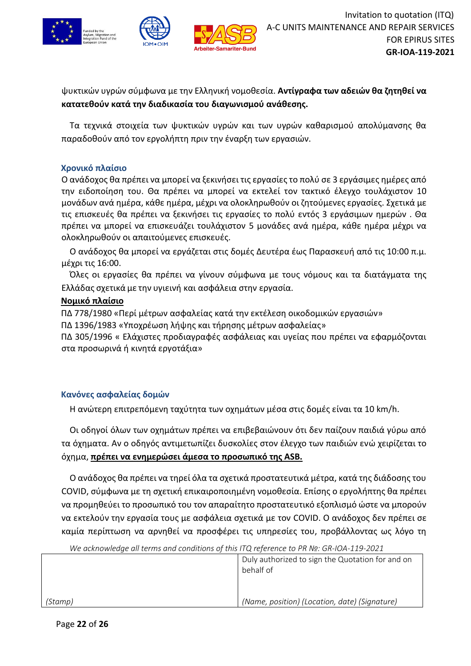

ψυκτικών υγρών σύμφωνα με την Ελληνική νομοθεσία. **Αντίγραφα των αδειών θα ζητηθεί να κατατεθούν κατά την διαδικασία του διαγωνισμού ανάθεσης.**

Τα τεχνικά στοιχεία των ψυκτικών υγρών και των υγρών καθαρισμού απολύμανσης θα παραδοθούν από τον εργολήπτη πριν την έναρξη των εργασιών.

# **Χρονικό πλαίσιο**

Ο ανάδοχος θα πρέπει να μπορεί να ξεκινήσει τις εργασίες το πολύ σε 3 εργάσιμες ημέρες από την ειδοποίηση του. Θα πρέπει να μπορεί να εκτελεί τον τακτικό έλεγχο τουλάχιστον 10 μονάδων ανά ημέρα, κάθε ημέρα, μέχρι να ολοκληρωθούν οι ζητούμενες εργασίες. Σχετικά με τις επισκευές θα πρέπει να ξεκινήσει τις εργασίες το πολύ εντός 3 εργάσιμων ημερών . Θα πρέπει να μπορεί να επισκευάζει τουλάχιστον 5 μονάδες ανά ημέρα, κάθε ημέρα μέχρι να ολοκληρωθούν οι απαιτούμενες επισκευές.

Ο ανάδοχος θα μπορεί να εργάζεται στις δομές Δευτέρα έως Παρασκευή από τις 10:00 π.μ. μέχρι τις 16:00.

Όλες οι εργασίες θα πρέπει να γίνουν σύμφωνα με τους νόμους και τα διατάγματα της Ελλάδας σχετικά με την υγιεινή και ασφάλεια στην εργασία.

# **Νομικό πλαίσιο**

ΠΔ 778/1980 «Περί μέτρων ασφαλείας κατά την εκτέλεση οικοδομικών εργασιών» ΠΔ 1396/1983 «Υποχρέωση λήψης και τήρησης μέτρων ασφαλείας»

ΠΔ 305/1996 « Ελάχιστες προδιαγραφές ασφάλειας και υγείας που πρέπει να εφαρμόζονται στα προσωρινά ή κινητά εργοτάξια»

# **Κανόνες ασφαλείας δομών**

Η ανώτερη επιτρεπόμενη ταχύτητα των οχημάτων μέσα στις δομές είναι τα 10 km/h.

Οι οδηγοί όλων των οχημάτων πρέπει να επιβεβαιώνουν ότι δεν παίζουν παιδιά γύρω από τα όχηματα. Αν ο οδηγός αντιμετωπίζει δυσκολίες στον έλεγχο των παιδιών ενώ χειρίζεται το όχημα, **πρέπει να ενημερώσει άμεσα το προσωπικό της ASB.**

Ο ανάδοχος θα πρέπει να τηρεί όλα τα σχετικά προστατευτικά μέτρα, κατά της διάδοσης του COVID, σύμφωνα με τη σχετική επικαιροποιημένη νομοθεσία. Επίσης ο εργολήπτης θα πρέπει να προμηθεύει το προσωπικό του τον απαραίτητο προστατευτικό εξοπλισμό ώστε να μπορούν να εκτελούν την εργασία τους με ασφάλεια σχετικά με τον COVID. Ο ανάδοχος δεν πρέπει σε καμία περίπτωση να αρνηθεί να προσφέρει τις υπηρεσίες του, προβάλλοντας ως λόγο τη

*(Stamp)* Duly authorized to sign the Quotation for and on behalf of *(Name, position) (Location, date) (Signature)*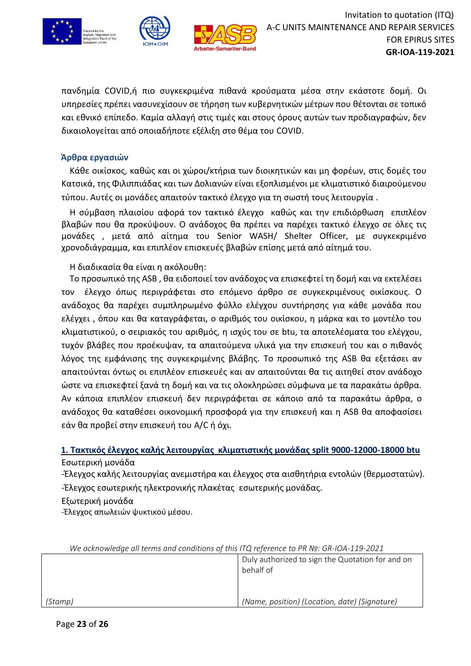

πανδημία COVID,ή πιο συγκεκριμένα πιθανά κρούσματα μέσα στην εκάστοτε δομή. Οι υπηρεσίες πρέπει νασυνεχίσουν σε τήρηση των κυβερνητικών μέτρων που θέτονται σε τοπικό και εθνικό επίπεδο. Καμία αλλαγή στις τιμές και στους όρους αυτών των προδιαγραφών, δεν δικαιολογείται από οποιαδήποτε εξέλιξη στο θέμα του COVID.

riter-Bund

# **Άρθρα εργασιών**

Κάθε οικίσκος, καθώς και οι χώροι/κτήρια των διοικητικών και μη φορέων, στις δομές του Κατσικά, της Φιλιππιάδας και των Δολιανών είναι εξοπλισμένοι με κλιματιστικό διαιρούμενου τύπου. Αυτές οι μονάδες απαιτούν τακτικό έλεγχο για τη σωστή τους λειτουργία .

Η σύμβαση πλαισίου αφορά τον τακτικό έλεγχο καθώς και την επιδιόρθωση επιπλέον βλαβών που θα προκύψουν. Ο ανάδοχος θα πρέπει να παρέχει τακτικό έλεγχο σε όλες τις μονάδες , μετά από αίτημα του Senior WASH/ Shelter Officer, με συγκεκριμένο χρονοδιάγραμμα, και επιπλέον επισκευές βλαβών επίσης μετά από αίτημά του.

Η διαδικασία θα είναι η ακόλουθη:

Το προσωπικό της ASB , θα ειδοποιεί τον ανάδοχος να επισκεφτεί τη δομή και να εκτελέσει τον έλεγχο όπως περιγράφεται στο επόμενο άρθρο σε συγκεκριμένους οικίσκους. Ο ανάδοχος θα παρέχει συμπληρωμένο φύλλο ελέγχου συντήρησης για κάθε μονάδα που ελέγχει , όπου και θα καταγράφεται, ο αριθμός του οικίσκου, η μάρκα και το μοντέλο του κλιματιστικού, ο σειριακός του αριθμός, η ισχύς του σε btu, τα αποτελέσματα του ελέγχου, τυχόν βλάβες που προέκυψαν, τα απαιτούμενα υλικά για την επισκευή του και ο πιθανός λόγος της εμφάνισης της συγκεκριμένης βλάβης. Το προσωπικό της ASB θα εξετάσει αν απαιτούνται όντως οι επιπλέον επισκευές και αν απαιτούνται θα τις αιτηθεί στον ανάδοχο ώστε να επισκεφτεί ξανά τη δομή και να τις ολοκληρώσει σύμφωνα με τα παρακάτω άρθρα. Αν κάποια επιπλέον επισκευή δεν περιγράφεται σε κάποιο από τα παρακάτω άρθρα, ο ανάδοχος θα καταθέσει οικονομική προσφορά για την επισκευή και η ASB θα αποφασίσει εάν θα προβεί στην επισκευή του A/C ή όχι.

**1. Τακτικός έλεγχος καλής λειτουργίας κλιματιστικής μονάδας split 9000-12000-18000 btu** Εσωτερική μονάδα

-Έλεγχος καλής λειτουργίας ανεμιστήρα και έλεγχος στα αισθητήρια εντολών (θερμοστατών). -Έλεγχος εσωτερικής ηλεκτρονικής πλακέτας εσωτερικής μονάδας.

Εξωτερική μονάδα

-Έλεγχος απωλειών ψυκτικού μέσου.

| We acknowledge all terms and conditions of this ITQ reference to PR Nº: GR-IOA-119-2021 |                                                               |
|-----------------------------------------------------------------------------------------|---------------------------------------------------------------|
|                                                                                         | Duly authorized to sign the Quotation for and on<br>behalf of |
| (Stamp)                                                                                 | (Name, position) (Location, date) (Signature)                 |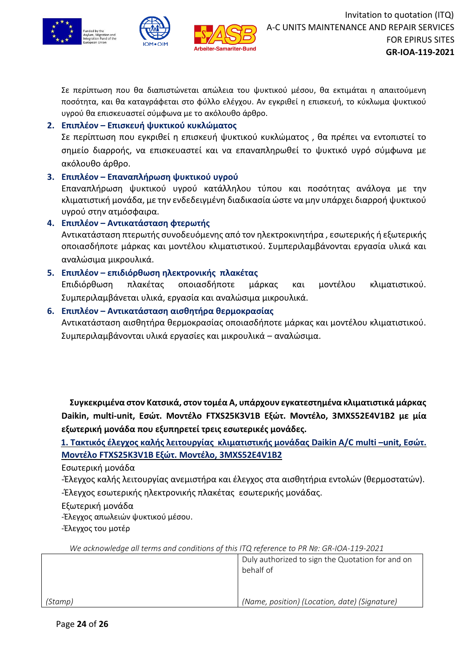



Σε περίπτωση που θα διαπιστώνεται απώλεια του ψυκτικού μέσου, θα εκτιμάται η απαιτούμενη ποσότητα, και θα καταγράφεται στο φύλλο ελέγχου. Αν εγκριθεί η επισκευή, το κύκλωμα ψυκτικού υγρού θα επισκευαστεί σύμφωνα με το ακόλουθο άρθρο.

# **2. Επιπλέον – Επισκευή ψυκτικού κυκλώματος**

Σε περίπτωση που εγκριθεί η επισκευή ψυκτικού κυκλώματος , θα πρέπει να εντοπιστεί το σημείο διαρροής, να επισκευαστεί και να επαναπληρωθεί το ψυκτικό υγρό σύμφωνα με ακόλουθο άρθρο.

# **3. Επιπλέον – Επαναπλήρωση ψυκτικού υγρού**

Επαναπλήρωση ψυκτικού υγρού κατάλληλου τύπου και ποσότητας ανάλογα με την κλιματιστική μονάδα, με την ενδεδειγμένη διαδικασία ώστε να μην υπάρχει διαρροή ψυκτικού υγρού στην ατμόσφαιρα.

# **4. Επιπλέον – Αντικατάσταση φτερωτής**

Αντικατάσταση πτερωτής συνοδευόμενης από τον ηλεκτροκινητήρα , εσωτερικής ή εξωτερικής οποιασδήποτε μάρκας και μοντέλου κλιματιστικού. Συμπεριλαμβάνονται εργασία υλικά και αναλώσιμα μικρουλικά.

# **5. Επιπλέον – επιδιόρθωση ηλεκτρονικής πλακέτας**

Επιδιόρθωση πλακέτας οποιασδήποτε μάρκας και μοντέλου κλιματιστικού. Συμπεριλαμβάνεται υλικά, εργασία και αναλώσιμα μικρουλικά.

# **6. Επιπλέον – Αντικατάσταση αισθητήρα θερμοκρασίας**

Αντικατάσταση αισθητήρα θερμοκρασίας οποιασδήποτε μάρκας και μοντέλου κλιματιστικού. Συμπεριλαμβάνονται υλικά εργασίες και μικρουλικά – αναλώσιμα.

**Συγκεκριμένα στον Κατσικά, στον τομέα Α, υπάρχουν εγκατεστημένα κλιματιστικά μάρκας Daikin, multi-unit, Εσώτ. Μοντέλο FTXS25K3V1Β Εξώτ. Μοντέλο, 3MXS52E4V1B2 με μία εξωτερική μονάδα που εξυπηρετεί τρεις εσωτερικές μονάδες.**

**1. Τακτικός έλεγχος καλής λειτουργίας κλιματιστικής μονάδας Daikin A/C multi –unit, Εσώτ. Μοντέλο FTXS25K3V1Β Εξώτ. Μοντέλο, 3MXS52E4V1B2**

Εσωτερική μονάδα

-Έλεγχος καλής λειτουργίας ανεμιστήρα και έλεγχος στα αισθητήρια εντολών (θερμοστατών).

-Έλεγχος εσωτερικής ηλεκτρονικής πλακέτας εσωτερικής μονάδας.

Εξωτερική μονάδα

-Έλεγχος απωλειών ψυκτικού μέσου.

-Έλεγχος του μοτέρ

|         | Duly authorized to sign the Quotation for and on<br>behalf of |
|---------|---------------------------------------------------------------|
| (Stamp) | (Name, position) (Location, date) (Signature)                 |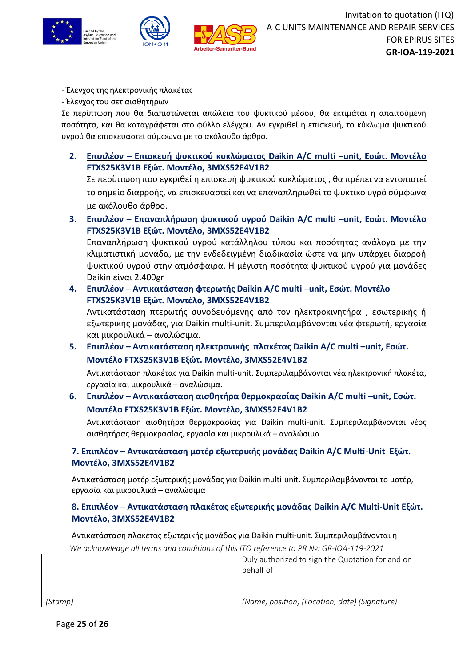

- Έλεγχος της ηλεκτρονικής πλακέτας

- Έλεγχος του σετ αισθητήρων

Σε περίπτωση που θα διαπιστώνεται απώλεια του ψυκτικού μέσου, θα εκτιμάται η απαιτούμενη ποσότητα, και θα καταγράφεται στο φύλλο ελέγχου. Αν εγκριθεί η επισκευή, το κύκλωμα ψυκτικού υγρού θα επισκευαστεί σύμφωνα με το ακόλουθο άρθρο.

**2. Επιπλέον – Επισκευή ψυκτικού κυκλώματος Daikin A/C multi –unit, Εσώτ. Μοντέλο FTXS25K3V1Β Εξώτ. Μοντέλο, 3MXS52E4V1B2**

Σε περίπτωση που εγκριθεί η επισκευή ψυκτικού κυκλώματος , θα πρέπει να εντοπιστεί το σημείο διαρροής, να επισκευαστεί και να επαναπληρωθεί το ψυκτικό υγρό σύμφωνα με ακόλουθο άρθρο.

**3. Επιπλέον – Επαναπλήρωση ψυκτικού υγρού Daikin A/C multi –unit, Εσώτ. Μοντέλο FTXS25K3V1Β Εξώτ. Μοντέλο, 3MXS52E4V1B2** Επαναπλήρωση ψυκτικού υγρού κατάλληλου τύπου και ποσότητας ανάλογα με την

κλιματιστική μονάδα, με την ενδεδειγμένη διαδικασία ώστε να μην υπάρχει διαρροή ψυκτικού υγρού στην ατμόσφαιρα. Η μέγιστη ποσότητα ψυκτικού υγρού για μονάδες Daikin είναι 2.400gr

- **4. Επιπλέον – Αντικατάσταση φτερωτής Daikin A/C multi –unit, Εσώτ. Μοντέλο FTXS25K3V1Β Εξώτ. Μοντέλο, 3MXS52E4V1B2** Αντικατάσταση πτερωτής συνοδευόμενης από τον ηλεκτροκινητήρα , εσωτερικής ή εξωτερικής μονάδας, για Daikin multi-unit. Συμπεριλαμβάνονται νέα φτερωτή, εργασία και μικρουλικά – αναλώσιμα.
- **5. Επιπλέον – Αντικατάσταση ηλεκτρονικής πλακέτας Daikin A/C multi –unit, Εσώτ. Μοντέλο FTXS25K3V1Β Εξώτ. Μοντέλο, 3MXS52E4V1B2**

Αντικατάσταση πλακέτας για Daikin multi-unit. Συμπεριλαμβάνονται νέα ηλεκτρονική πλακέτα, εργασία και μικρουλικά – αναλώσιμα.

**6. Επιπλέον – Αντικατάσταση αισθητήρα θερμοκρασίας Daikin A/C multi –unit, Εσώτ. Μοντέλο FTXS25K3V1Β Εξώτ. Μοντέλο, 3MXS52E4V1B2**

Αντικατάσταση αισθητήρα θερμοκρασίας για Daikin multi-unit. Συμπεριλαμβάνονται νέος αισθητήρας θερμοκρασίας, εργασία και μικρουλικά – αναλώσιμα.

# **7. Επιπλέον – Αντικατάσταση μοτέρ εξωτερικής μονάδας Daikin A/C Multi-Unit Εξώτ. Μοντέλο, 3MXS52E4V1B2**

Αντικατάσταση μοτέρ εξωτερικής μονάδας για Daikin multi-unit. Συμπεριλαμβάνονται το μοτέρ, εργασία και μικρουλικά – αναλώσιμα

# **8. Επιπλέον – Αντικατάσταση πλακέτας εξωτερικής μονάδας Daikin A/C Multi-Unit Εξώτ. Μοντέλο, 3MXS52E4V1B2**

*We acknowledge all terms and conditions of this ITQ reference to PR №: GR-IOA-119-2021* Αντικατάσταση πλακέτας εξωτερικής μονάδας για Daikin multi-unit. Συμπεριλαμβάνονται η

|         | Duly authorized to sign the Quotation for and on<br>behalf of |
|---------|---------------------------------------------------------------|
| (Stamp) | (Name, position) (Location, date) (Signature)                 |